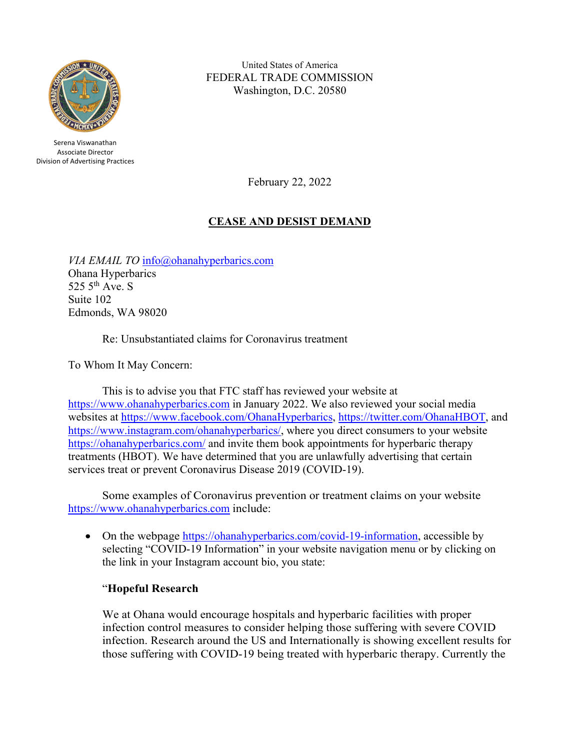

Serena Viswanathan Associate Director Division of Advertising Practices

United States of America FEDERAL TRADE COMMISSION Washington, D.C. 20580

February 22, 2022

## **CEASE AND DESIST DEMAND**

*VIA EMAIL TO* [info@ohanahyperbarics.com](mailto:info@ohanahyperbarics.com) Ohana Hyperbarics 525  $5<sup>th</sup>$  Ave. S Suite 102 Edmonds, WA 98020

Re: Unsubstantiated claims for Coronavirus treatment

To Whom It May Concern:

This is to advise you that FTC staff has reviewed your website at [https://www.ohanahyperbarics.com](https://www.ohanahyperbarics.com/) in January 2022. We also reviewed your social media websites at [https://www.facebook.com/OhanaHyperbarics,](https://www.facebook.com/OhanaHyperbarics) [https://twitter.com/OhanaHBOT,](https://twitter.com/OhanaHBOT) and [https://www.instagram.com/ohanahyperbarics/,](https://www.instagram.com/ohanahyperbarics/) where you direct consumers to your website [https://ohanahyperbarics.com/](https://ohanahyperbarics.com/covid-19-information) and invite them book appointments for hyperbaric therapy treatments (HBOT). We have determined that you are unlawfully advertising that certain services treat or prevent Coronavirus Disease 2019 (COVID-19).

Some examples of Coronavirus prevention or treatment claims on your website [https://www.ohanahyperbarics.com](https://www.ohanahyperbarics.com/) include:

• On the webpage [https://ohanahyperbarics.com/covid-19-information,](https://ohanahyperbarics.com/covid-19-information) accessible by selecting "COVID-19 Information" in your website navigation menu or by clicking on the link in your Instagram account bio, you state:

## "**Hopeful Research**

We at Ohana would encourage hospitals and hyperbaric facilities with proper infection control measures to consider helping those suffering with severe COVID infection. Research around the US and Internationally is showing excellent results for those suffering with COVID-19 being treated with hyperbaric therapy. Currently the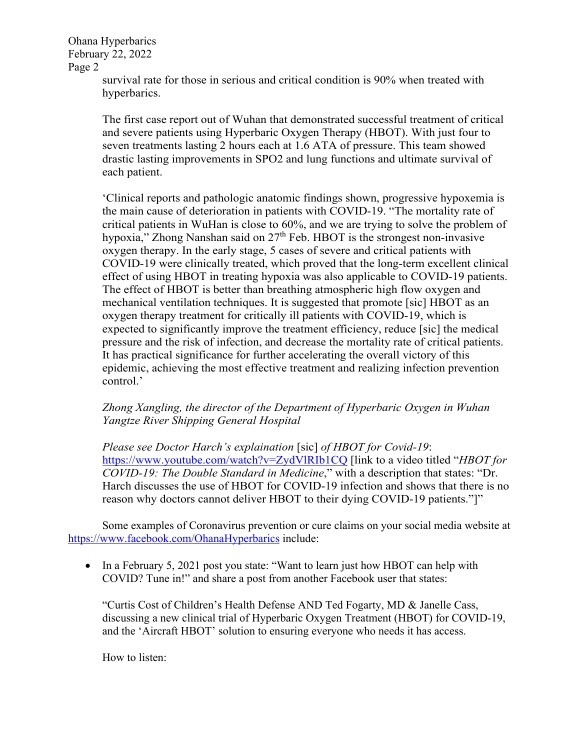> survival rate for those in serious and critical condition is 90% when treated with hyperbarics.

The first case report out of Wuhan that demonstrated successful treatment of critical and severe patients using Hyperbaric Oxygen Therapy (HBOT). With just four to seven treatments lasting 2 hours each at 1.6 ATA of pressure. This team showed drastic lasting improvements in SPO2 and lung functions and ultimate survival of each patient.

'Clinical reports and pathologic anatomic findings shown, progressive hypoxemia is the main cause of deterioration in patients with COVID-19. "The mortality rate of critical patients in WuHan is close to 60%, and we are trying to solve the problem of hypoxia," Zhong Nanshan said on  $27<sup>th</sup>$  Feb. HBOT is the strongest non-invasive oxygen therapy. In the early stage, 5 cases of severe and critical patients with COVID-19 were clinically treated, which proved that the long-term excellent clinical effect of using HBOT in treating hypoxia was also applicable to COVID-19 patients. The effect of HBOT is better than breathing atmospheric high flow oxygen and mechanical ventilation techniques. It is suggested that promote [sic] HBOT as an oxygen therapy treatment for critically ill patients with COVID-19, which is expected to significantly improve the treatment efficiency, reduce [sic] the medical pressure and the risk of infection, and decrease the mortality rate of critical patients. It has practical significance for further accelerating the overall victory of this epidemic, achieving the most effective treatment and realizing infection prevention control.'

## *Zhong Xangling, the director of the Department of Hyperbaric Oxygen in Wuhan Yangtze River Shipping General Hospital*

*Please see Doctor Harch's explaination* [sic] *of HBOT for Covid-19*: [https://www.youtube.com/watch?v=ZydVlRIb1CQ](https://www.youtube.com/watch?v=ZYdVlRIb1CQ) [link to a video titled "*HBOT for COVID-19: The Double Standard in Medicine*," with a description that states: "Dr. Harch discusses the use of HBOT for COVID-19 infection and shows that there is no reason why doctors cannot deliver HBOT to their dying COVID-19 patients."]"

Some examples of Coronavirus prevention or cure claims on your social media website at <https://www.facebook.com/OhanaHyperbarics> include:

• In a February 5, 2021 post you state: "Want to learn just how HBOT can help with COVID? Tune in!" and share a post from another Facebook user that states:

"Curtis Cost of Children's Health Defense AND Ted Fogarty, MD & Janelle Cass, discussing a new clinical trial of Hyperbaric Oxygen Treatment (HBOT) for COVID-19, and the 'Aircraft HBOT' solution to ensuring everyone who needs it has access.

How to listen: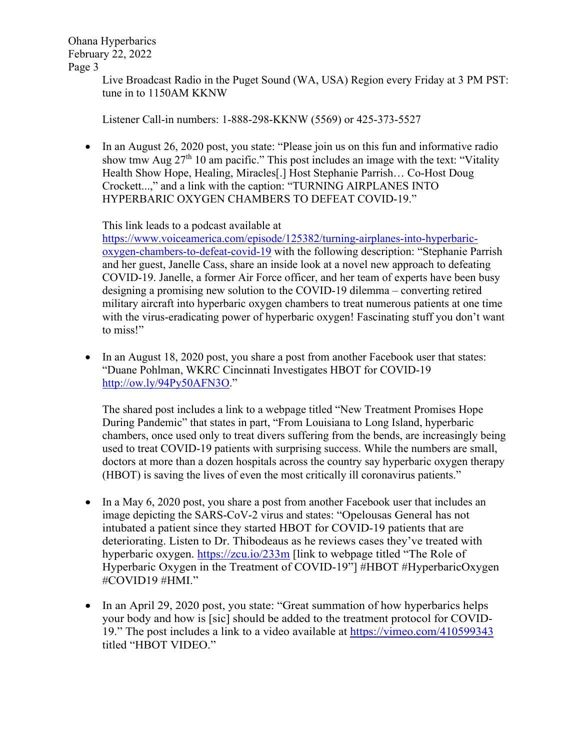> Live Broadcast Radio in the Puget Sound (WA, USA) Region every Friday at 3 PM PST: tune in to 1150AM KKNW

Listener Call-in numbers: 1-888-298-KKNW (5569) or 425-373-5527

• In an August 26, 2020 post, you state: "Please join us on this fun and informative radio show tmw Aug  $27<sup>th</sup> 10$  am pacific." This post includes an image with the text: "Vitality Health Show Hope, Healing, Miracles[.] Host Stephanie Parrish… Co-Host Doug Crockett...," and a link with the caption: "TURNING AIRPLANES INTO HYPERBARIC OXYGEN CHAMBERS TO DEFEAT COVID-19."

This link leads to a podcast available at

[https://www.voiceamerica.com/episode/125382/turning-airplanes-into-hyperbaric](https://www.voiceamerica.com/episode/125382/turning-airplanes-into-hyperbaric-oxygen-chambers-to-defeat-covid-19)[oxygen-chambers-to-defeat-covid-19](https://www.voiceamerica.com/episode/125382/turning-airplanes-into-hyperbaric-oxygen-chambers-to-defeat-covid-19) with the following description: "Stephanie Parrish and her guest, Janelle Cass, share an inside look at a novel new approach to defeating COVID-19. Janelle, a former Air Force officer, and her team of experts have been busy designing a promising new solution to the COVID-19 dilemma – converting retired military aircraft into hyperbaric oxygen chambers to treat numerous patients at one time with the virus-eradicating power of hyperbaric oxygen! Fascinating stuff you don't want to miss!"

In an August 18, 2020 post, you share a post from another Facebook user that states: "Duane Pohlman, WKRC Cincinnati Investigates HBOT for COVID-19 [http://ow.ly/94Py50AFN3O.](http://ow.ly/94Py50AFN3O)"

The shared post includes a link to a webpage titled "New Treatment Promises Hope During Pandemic" that states in part, "From Louisiana to Long Island, hyperbaric chambers, once used only to treat divers suffering from the bends, are increasingly being used to treat COVID-19 patients with surprising success. While the numbers are small, doctors at more than a dozen hospitals across the country say hyperbaric oxygen therapy (HBOT) is saving the lives of even the most critically ill coronavirus patients."

- In a May 6, 2020 post, you share a post from another Facebook user that includes an image depicting the SARS-CoV-2 virus and states: "Opelousas General has not intubated a patient since they started HBOT for COVID-19 patients that are deteriorating. Listen to Dr. Thibodeaus as he reviews cases they've treated with hyperbaric oxygen. https://zcu.jo/233m [link to webpage titled "The Role of Hyperbaric Oxygen in the Treatment of COVID-19"] #HBOT #HyperbaricOxygen #COVID19 #HMI."
- In an April 29, 2020 post, you state: "Great summation of how hyperbarics helps your body and how is [sic] should be added to the treatment protocol for COVID-19." The post includes a link to a video available at<https://vimeo.com/410599343> titled "HBOT VIDEO."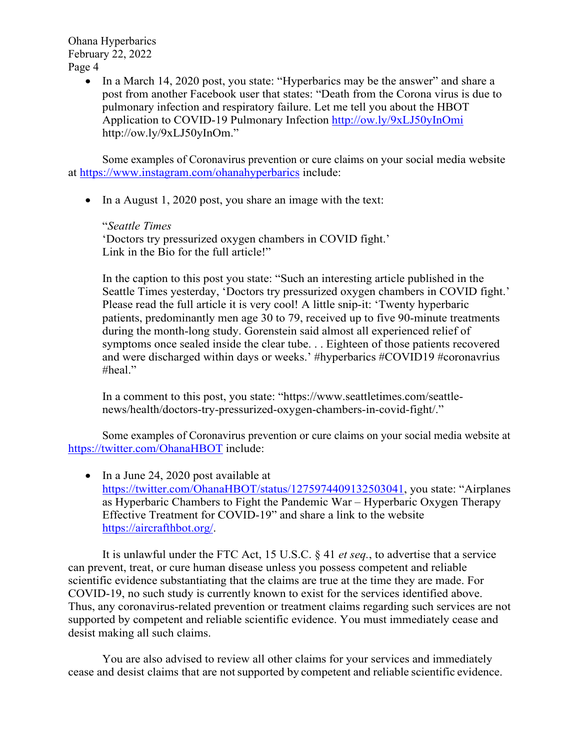> • In a March 14, 2020 post, you state: "Hyperbarics may be the answer" and share a post from another Facebook user that states: "Death from the Corona virus is due to pulmonary infection and respiratory failure. Let me tell you about the HBOT Application to COVID-19 Pulmonary Infection<http://ow.ly/9xLJ50yInOmi> http://ow.ly/9xLJ50yInOm."

Some examples of Coronavirus prevention or cure claims on your social media website at<https://www.instagram.com/ohanahyperbarics> include:

• In a August 1, 2020 post, you share an image with the text:

"*Seattle Times* 'Doctors try pressurized oxygen chambers in COVID fight.' Link in the Bio for the full article!"

In the caption to this post you state: "Such an interesting article published in the Seattle Times yesterday, 'Doctors try pressurized oxygen chambers in COVID fight.' Please read the full article it is very cool! A little snip-it: 'Twenty hyperbaric patients, predominantly men age 30 to 79, received up to five 90-minute treatments during the month-long study. Gorenstein said almost all experienced relief of symptoms once sealed inside the clear tube. . . Eighteen of those patients recovered and were discharged within days or weeks.' #hyperbarics #COVID19 #coronavrius #heal."

In a comment to this post, you state: "https://www.seattletimes.com/seattlenews/health/doctors-try-pressurized-oxygen-chambers-in-covid-fight/."

Some examples of Coronavirus prevention or cure claims on your social media website at <https://twitter.com/OhanaHBOT> include:

• In a June 24, 2020 post available at [https://twitter.com/OhanaHBOT/status/1275974409132503041,](https://twitter.com/OhanaHBOT/status/1275974409132503041) you state: "Airplanes as Hyperbaric Chambers to Fight the Pandemic War – Hyperbaric Oxygen Therapy Effective Treatment for COVID-19" and share a link to the website [https://aircrafthbot.org/.](https://aircrafthbot.org/)

It is unlawful under the FTC Act, 15 U.S.C. § 41 *et seq.*, to advertise that a service can prevent, treat, or cure human disease unless you possess competent and reliable scientific evidence substantiating that the claims are true at the time they are made. For COVID-19, no such study is currently known to exist for the services identified above. Thus, any coronavirus-related prevention or treatment claims regarding such services are not supported by competent and reliable scientific evidence. You must immediately cease and desist making all such claims.

You are also advised to review all other claims for your services and immediately cease and desist claims that are not supported by competent and reliable scientific evidence.